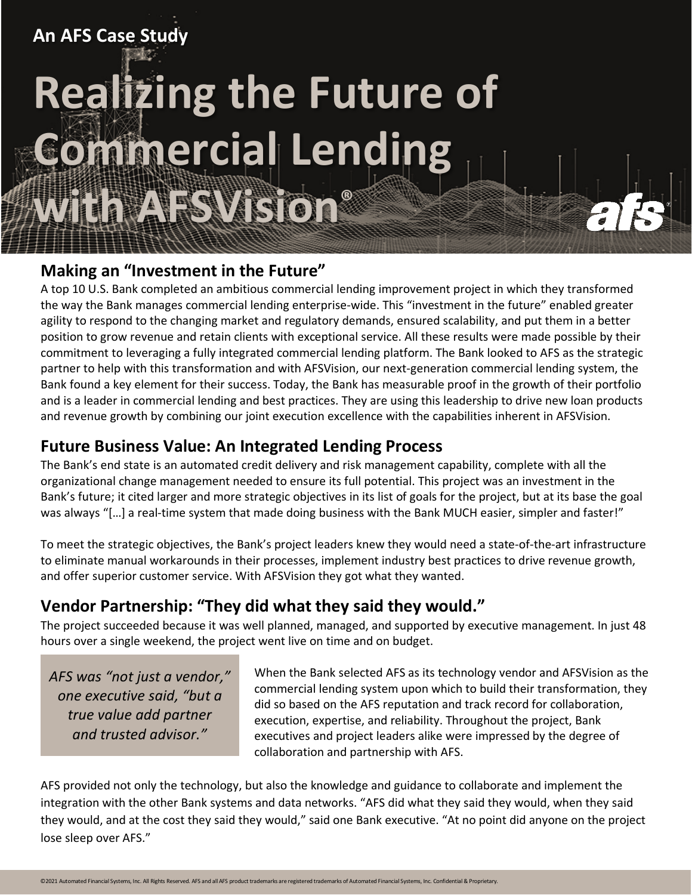# **An AFS Case Study Realizing the Future of Chimercial Lending with AFSVision®**

#### **Making an "Investment in the Future"**

A top 10 U.S. Bank completed an ambitious commercial lending improvement project in which they transformed the way the Bank manages commercial lending enterprise-wide. This "investment in the future" enabled greater agility to respond to the changing market and regulatory demands, ensured scalability, and put them in a better position to grow revenue and retain clients with exceptional service. All these results were made possible by their commitment to leveraging a fully integrated commercial lending platform. The Bank looked to AFS as the strategic partner to help with this transformation and with AFSVision, our next-generation commercial lending system, the Bank found a key element for their success. Today, the Bank has measurable proof in the growth of their portfolio and is a leader in commercial lending and best practices. They are using this leadership to drive new loan products and revenue growth by combining our joint execution excellence with the capabilities inherent in AFSVision.

### **Future Business Value: An Integrated Lending Process**

The Bank's end state is an automated credit delivery and risk management capability, complete with all the organizational change management needed to ensure its full potential. This project was an investment in the Bank's future; it cited larger and more strategic objectives in its list of goals for the project, but at its base the goal was always "[…] a real-time system that made doing business with the Bank MUCH easier, simpler and faster!"

To meet the strategic objectives, the Bank's project leaders knew they would need a state-of-the-art infrastructure to eliminate manual workarounds in their processes, implement industry best practices to drive revenue growth, and offer superior customer service. With AFSVision they got what they wanted.

## **Vendor Partnership: "They did what they said they would."**

The project succeeded because it was well planned, managed, and supported by executive management. In just 48 hours over a single weekend, the project went live on time and on budget.

*AFS was "not just a vendor," one executive said, "but a true value add partner and trusted advisor."*

When the Bank selected AFS as its technology vendor and AFSVision as the commercial lending system upon which to build their transformation, they did so based on the AFS reputation and track record for collaboration, execution, expertise, and reliability. Throughout the project, Bank executives and project leaders alike were impressed by the degree of collaboration and partnership with AFS.

FIF:

AFS provided not only the technology, but also the knowledge and guidance to collaborate and implement the integration with the other Bank systems and data networks. "AFS did what they said they would, when they said they would, and at the cost they said they would," said one Bank executive. "At no point did anyone on the project lose sleep over AFS."